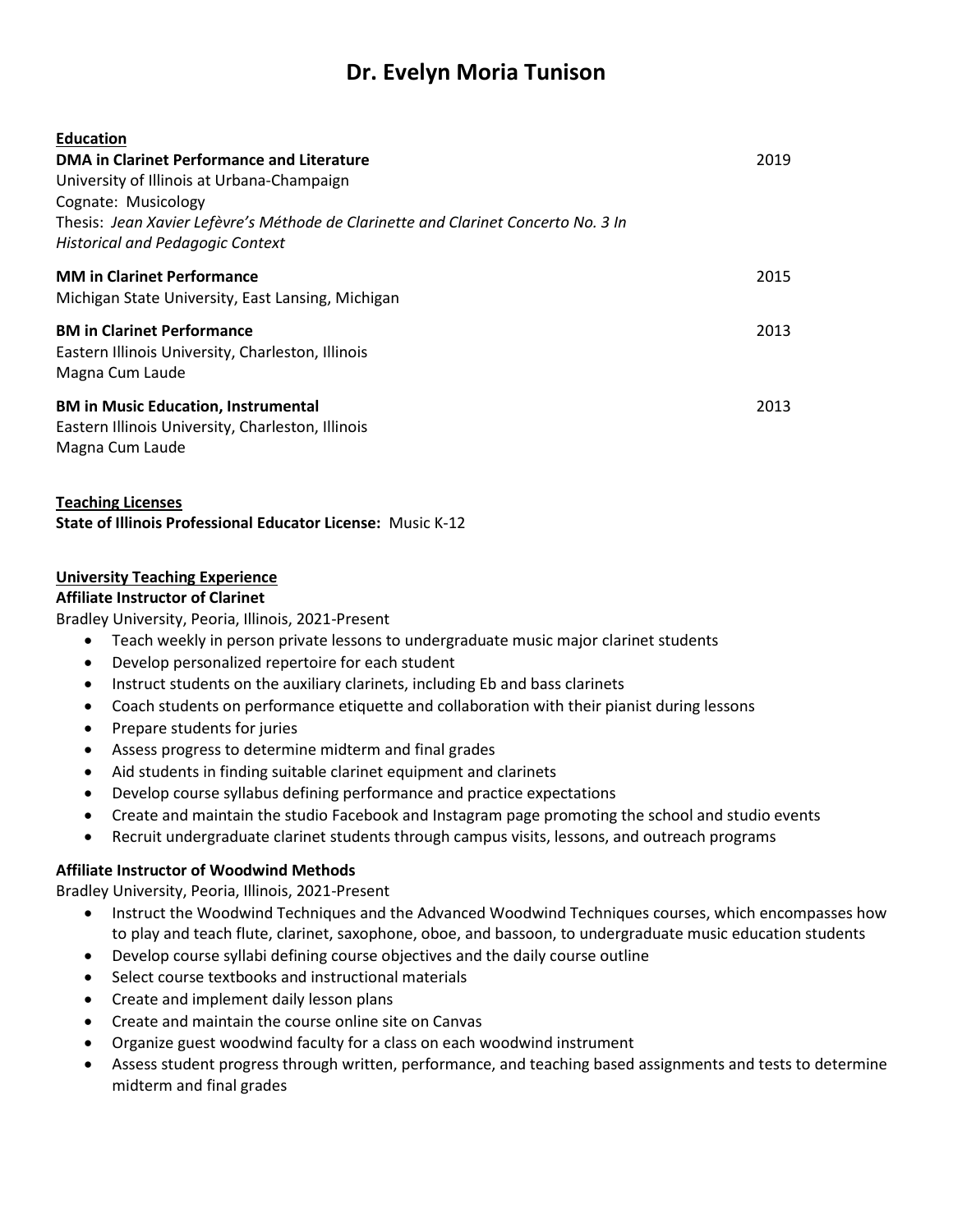# **Dr. Evelyn Moria Tunison**

| <b>Education</b><br>DMA in Clarinet Performance and Literature<br>University of Illinois at Urbana-Champaign<br>Cognate: Musicology<br>Thesis: Jean Xavier Lefèvre's Méthode de Clarinette and Clarinet Concerto No. 3 In<br><b>Historical and Pedagogic Context</b> | 2019 |
|----------------------------------------------------------------------------------------------------------------------------------------------------------------------------------------------------------------------------------------------------------------------|------|
| <b>MM in Clarinet Performance</b><br>Michigan State University, East Lansing, Michigan                                                                                                                                                                               | 2015 |
| <b>BM in Clarinet Performance</b><br>Eastern Illinois University, Charleston, Illinois<br>Magna Cum Laude                                                                                                                                                            | 2013 |
| <b>BM in Music Education, Instrumental</b><br>Eastern Illinois University, Charleston, Illinois<br>Magna Cum Laude                                                                                                                                                   | 2013 |

### **Teaching Licenses**

**State of Illinois Professional Educator License:** Music K-12

### **University Teaching Experience**

### **Affiliate Instructor of Clarinet**

Bradley University, Peoria, Illinois, 2021-Present

- Teach weekly in person private lessons to undergraduate music major clarinet students
- Develop personalized repertoire for each student
- Instruct students on the auxiliary clarinets, including Eb and bass clarinets
- Coach students on performance etiquette and collaboration with their pianist during lessons
- Prepare students for juries
- Assess progress to determine midterm and final grades
- Aid students in finding suitable clarinet equipment and clarinets
- Develop course syllabus defining performance and practice expectations
- Create and maintain the studio Facebook and Instagram page promoting the school and studio events
- Recruit undergraduate clarinet students through campus visits, lessons, and outreach programs

### **Affiliate Instructor of Woodwind Methods**

Bradley University, Peoria, Illinois, 2021-Present

- Instruct the Woodwind Techniques and the Advanced Woodwind Techniques courses, which encompasses how to play and teach flute, clarinet, saxophone, oboe, and bassoon, to undergraduate music education students
- Develop course syllabi defining course objectives and the daily course outline
- Select course textbooks and instructional materials
- Create and implement daily lesson plans
- Create and maintain the course online site on Canvas
- Organize guest woodwind faculty for a class on each woodwind instrument
- Assess student progress through written, performance, and teaching based assignments and tests to determine midterm and final grades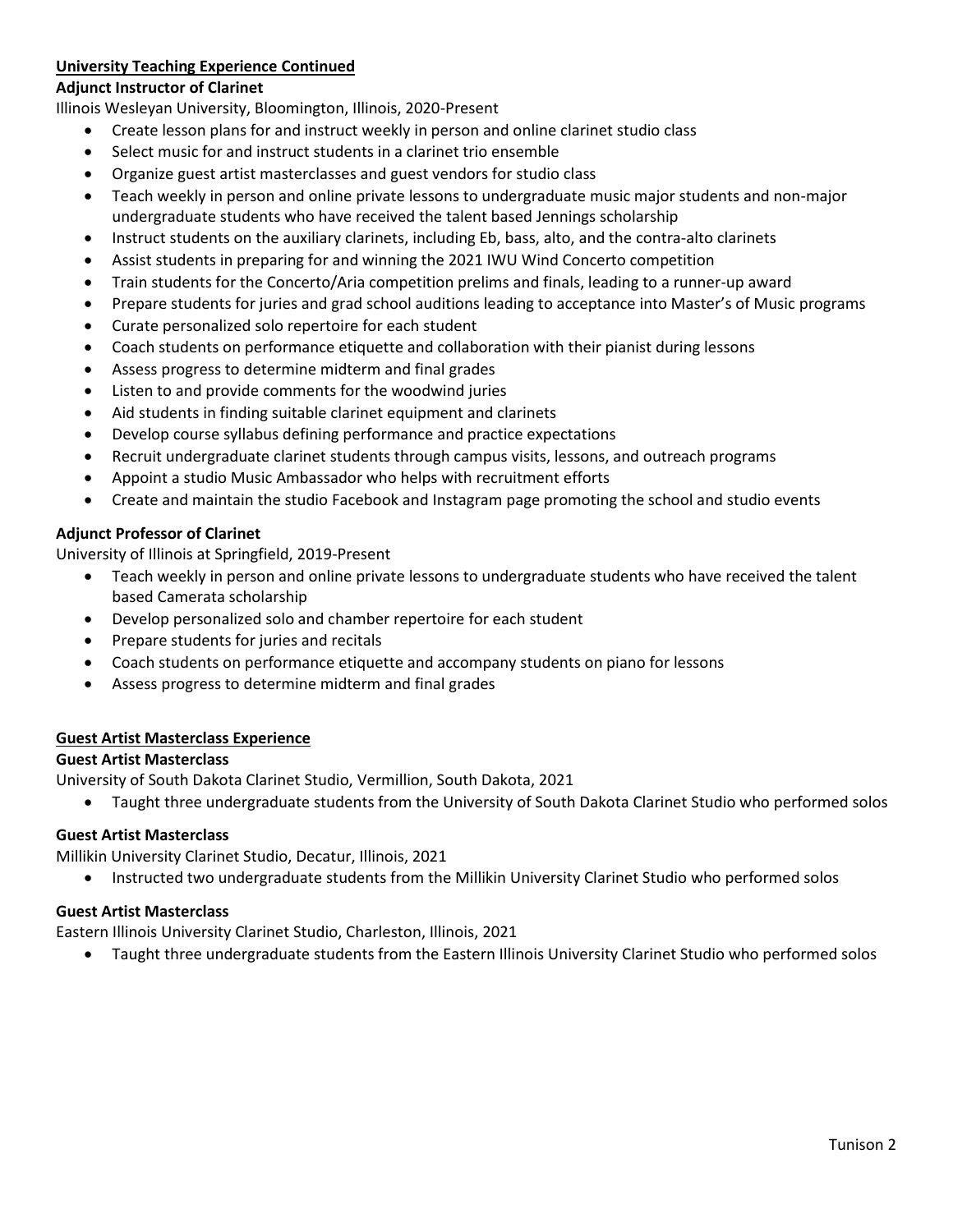# **University Teaching Experience Continued**

### **Adjunct Instructor of Clarinet**

Illinois Wesleyan University, Bloomington, Illinois, 2020-Present

- Create lesson plans for and instruct weekly in person and online clarinet studio class
- Select music for and instruct students in a clarinet trio ensemble
- Organize guest artist masterclasses and guest vendors for studio class
- Teach weekly in person and online private lessons to undergraduate music major students and non-major undergraduate students who have received the talent based Jennings scholarship
- Instruct students on the auxiliary clarinets, including Eb, bass, alto, and the contra-alto clarinets
- Assist students in preparing for and winning the 2021 IWU Wind Concerto competition
- Train students for the Concerto/Aria competition prelims and finals, leading to a runner-up award
- Prepare students for juries and grad school auditions leading to acceptance into Master's of Music programs
- Curate personalized solo repertoire for each student
- Coach students on performance etiquette and collaboration with their pianist during lessons
- Assess progress to determine midterm and final grades
- Listen to and provide comments for the woodwind juries
- Aid students in finding suitable clarinet equipment and clarinets
- Develop course syllabus defining performance and practice expectations
- Recruit undergraduate clarinet students through campus visits, lessons, and outreach programs
- Appoint a studio Music Ambassador who helps with recruitment efforts
- Create and maintain the studio Facebook and Instagram page promoting the school and studio events

### **Adjunct Professor of Clarinet**

University of Illinois at Springfield, 2019-Present

- Teach weekly in person and online private lessons to undergraduate students who have received the talent based Camerata scholarship
- Develop personalized solo and chamber repertoire for each student
- Prepare students for juries and recitals
- Coach students on performance etiquette and accompany students on piano for lessons
- Assess progress to determine midterm and final grades

### **Guest Artist Masterclass Experience**

### **Guest Artist Masterclass**

University of South Dakota Clarinet Studio, Vermillion, South Dakota, 2021

• Taught three undergraduate students from the University of South Dakota Clarinet Studio who performed solos

### **Guest Artist Masterclass**

Millikin University Clarinet Studio, Decatur, Illinois, 2021

• Instructed two undergraduate students from the Millikin University Clarinet Studio who performed solos

### **Guest Artist Masterclass**

Eastern Illinois University Clarinet Studio, Charleston, Illinois, 2021

• Taught three undergraduate students from the Eastern Illinois University Clarinet Studio who performed solos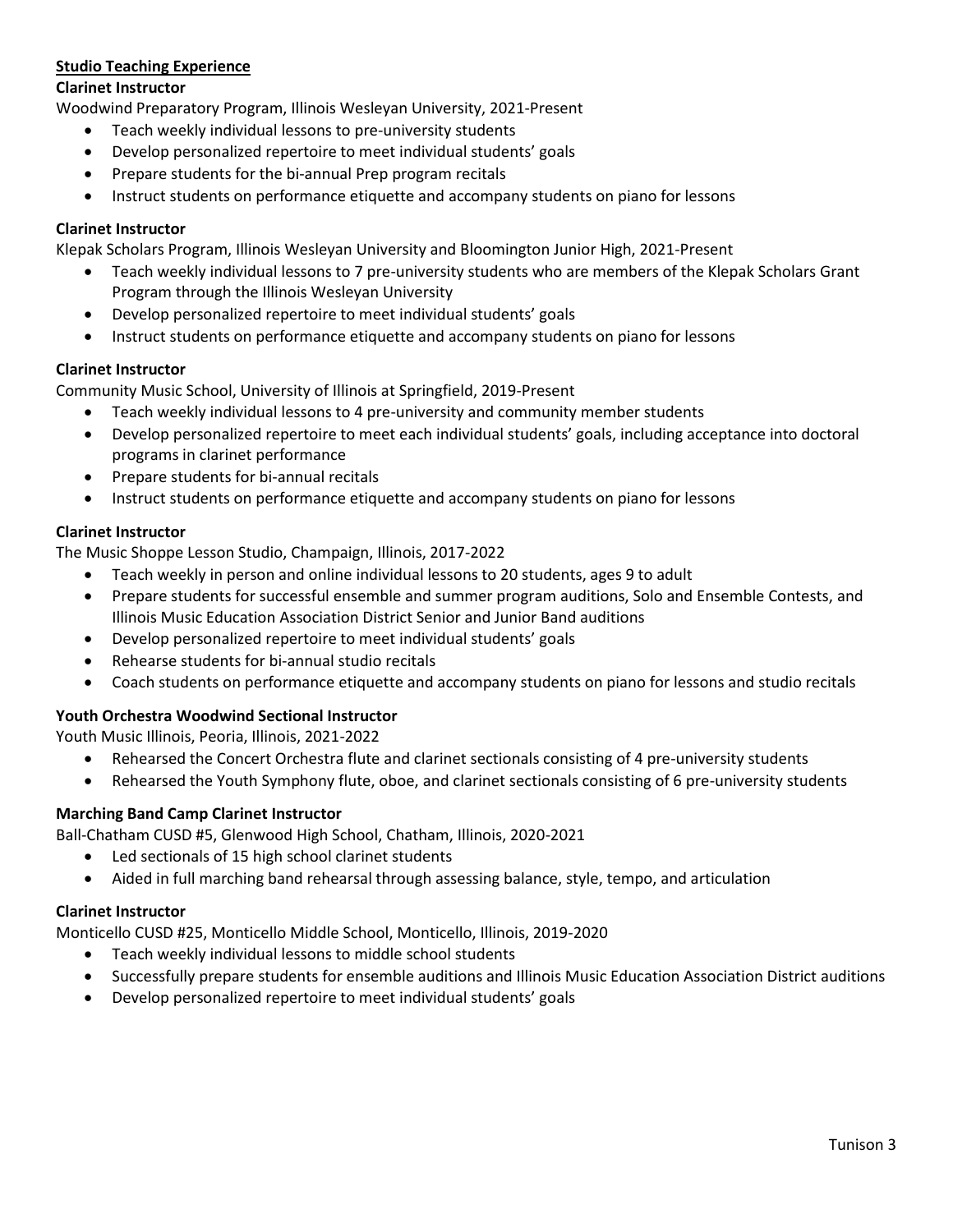### **Studio Teaching Experience**

### **Clarinet Instructor**

Woodwind Preparatory Program, Illinois Wesleyan University, 2021-Present

- Teach weekly individual lessons to pre-university students
- Develop personalized repertoire to meet individual students' goals
- Prepare students for the bi-annual Prep program recitals
- Instruct students on performance etiquette and accompany students on piano for lessons

### **Clarinet Instructor**

Klepak Scholars Program, Illinois Wesleyan University and Bloomington Junior High, 2021-Present

- Teach weekly individual lessons to 7 pre-university students who are members of the Klepak Scholars Grant Program through the Illinois Wesleyan University
- Develop personalized repertoire to meet individual students' goals
- Instruct students on performance etiquette and accompany students on piano for lessons

### **Clarinet Instructor**

Community Music School, University of Illinois at Springfield, 2019-Present

- Teach weekly individual lessons to 4 pre-university and community member students
- Develop personalized repertoire to meet each individual students' goals, including acceptance into doctoral programs in clarinet performance
- Prepare students for bi-annual recitals
- Instruct students on performance etiquette and accompany students on piano for lessons

### **Clarinet Instructor**

The Music Shoppe Lesson Studio, Champaign, Illinois, 2017-2022

- Teach weekly in person and online individual lessons to 20 students, ages 9 to adult
- Prepare students for successful ensemble and summer program auditions, Solo and Ensemble Contests, and Illinois Music Education Association District Senior and Junior Band auditions
- Develop personalized repertoire to meet individual students' goals
- Rehearse students for bi-annual studio recitals
- Coach students on performance etiquette and accompany students on piano for lessons and studio recitals

### **Youth Orchestra Woodwind Sectional Instructor**

Youth Music Illinois, Peoria, Illinois, 2021-2022

- Rehearsed the Concert Orchestra flute and clarinet sectionals consisting of 4 pre-university students
- Rehearsed the Youth Symphony flute, oboe, and clarinet sectionals consisting of 6 pre-university students

### **Marching Band Camp Clarinet Instructor**

Ball-Chatham CUSD #5, Glenwood High School, Chatham, Illinois, 2020-2021

- Led sectionals of 15 high school clarinet students
- Aided in full marching band rehearsal through assessing balance, style, tempo, and articulation

### **Clarinet Instructor**

Monticello CUSD #25, Monticello Middle School, Monticello, Illinois, 2019-2020

- Teach weekly individual lessons to middle school students
- Successfully prepare students for ensemble auditions and Illinois Music Education Association District auditions
- Develop personalized repertoire to meet individual students' goals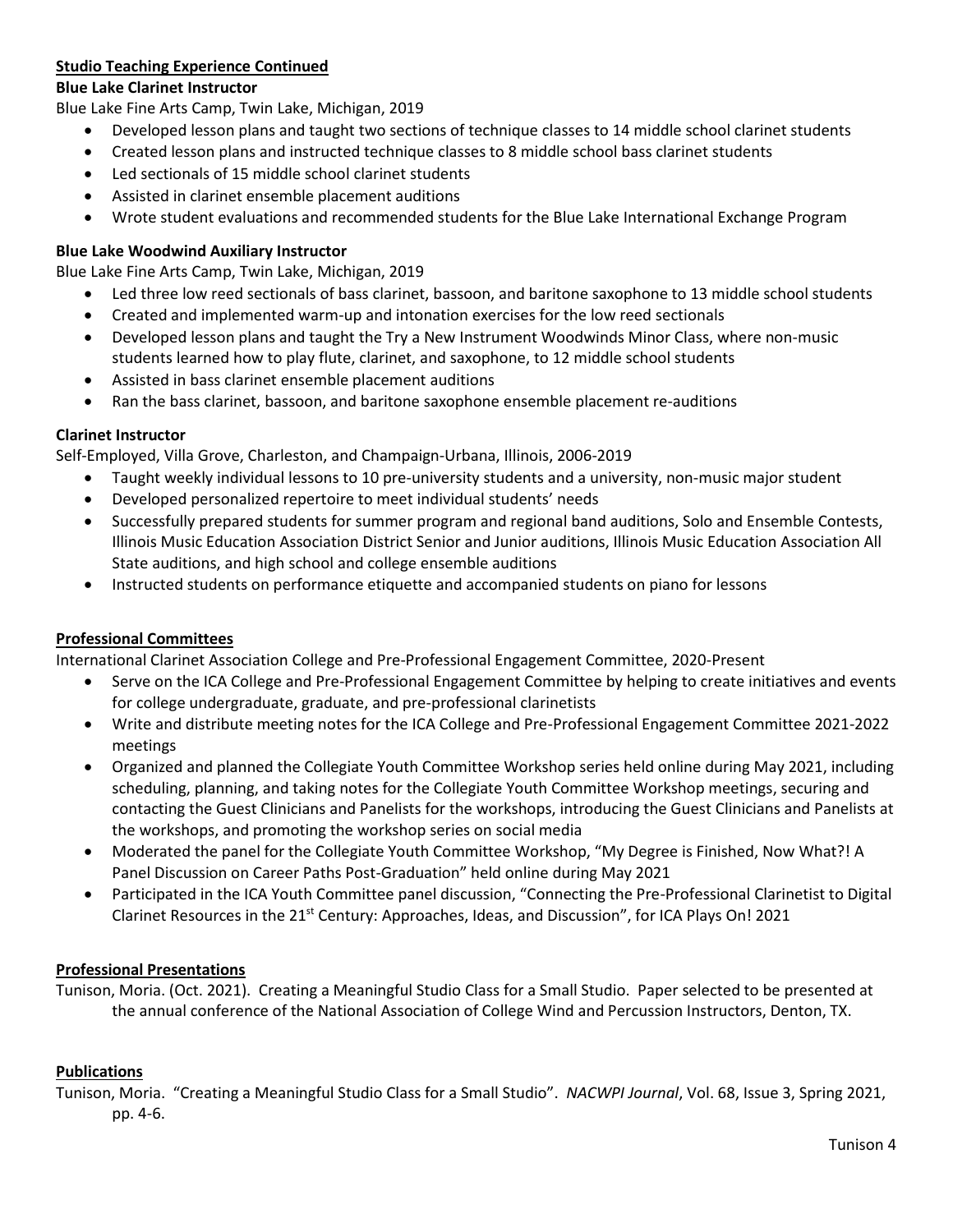## **Studio Teaching Experience Continued**

### **Blue Lake Clarinet Instructor**

Blue Lake Fine Arts Camp, Twin Lake, Michigan, 2019

- Developed lesson plans and taught two sections of technique classes to 14 middle school clarinet students
- Created lesson plans and instructed technique classes to 8 middle school bass clarinet students
- Led sectionals of 15 middle school clarinet students
- Assisted in clarinet ensemble placement auditions
- Wrote student evaluations and recommended students for the Blue Lake International Exchange Program

### **Blue Lake Woodwind Auxiliary Instructor**

Blue Lake Fine Arts Camp, Twin Lake, Michigan, 2019

- Led three low reed sectionals of bass clarinet, bassoon, and baritone saxophone to 13 middle school students
- Created and implemented warm-up and intonation exercises for the low reed sectionals
- Developed lesson plans and taught the Try a New Instrument Woodwinds Minor Class, where non-music students learned how to play flute, clarinet, and saxophone, to 12 middle school students
- Assisted in bass clarinet ensemble placement auditions
- Ran the bass clarinet, bassoon, and baritone saxophone ensemble placement re-auditions

### **Clarinet Instructor**

Self-Employed, Villa Grove, Charleston, and Champaign-Urbana, Illinois, 2006-2019

- Taught weekly individual lessons to 10 pre-university students and a university, non-music major student
- Developed personalized repertoire to meet individual students' needs
- Successfully prepared students for summer program and regional band auditions, Solo and Ensemble Contests, Illinois Music Education Association District Senior and Junior auditions, Illinois Music Education Association All State auditions, and high school and college ensemble auditions
- Instructed students on performance etiquette and accompanied students on piano for lessons

### **Professional Committees**

International Clarinet Association College and Pre-Professional Engagement Committee, 2020-Present

- Serve on the ICA College and Pre-Professional Engagement Committee by helping to create initiatives and events for college undergraduate, graduate, and pre-professional clarinetists
- Write and distribute meeting notes for the ICA College and Pre-Professional Engagement Committee 2021-2022 meetings
- Organized and planned the Collegiate Youth Committee Workshop series held online during May 2021, including scheduling, planning, and taking notes for the Collegiate Youth Committee Workshop meetings, securing and contacting the Guest Clinicians and Panelists for the workshops, introducing the Guest Clinicians and Panelists at the workshops, and promoting the workshop series on social media
- Moderated the panel for the Collegiate Youth Committee Workshop, "My Degree is Finished, Now What?! A Panel Discussion on Career Paths Post-Graduation" held online during May 2021
- Participated in the ICA Youth Committee panel discussion, "Connecting the Pre-Professional Clarinetist to Digital Clarinet Resources in the 21<sup>st</sup> Century: Approaches, Ideas, and Discussion", for ICA Plays On! 2021

### **Professional Presentations**

Tunison, Moria. (Oct. 2021). Creating a Meaningful Studio Class for a Small Studio. Paper selected to be presented at the annual conference of the National Association of College Wind and Percussion Instructors, Denton, TX.

### **Publications**

Tunison, Moria. "Creating a Meaningful Studio Class for a Small Studio". *NACWPI Journal*, Vol. 68, Issue 3, Spring 2021, pp. 4-6.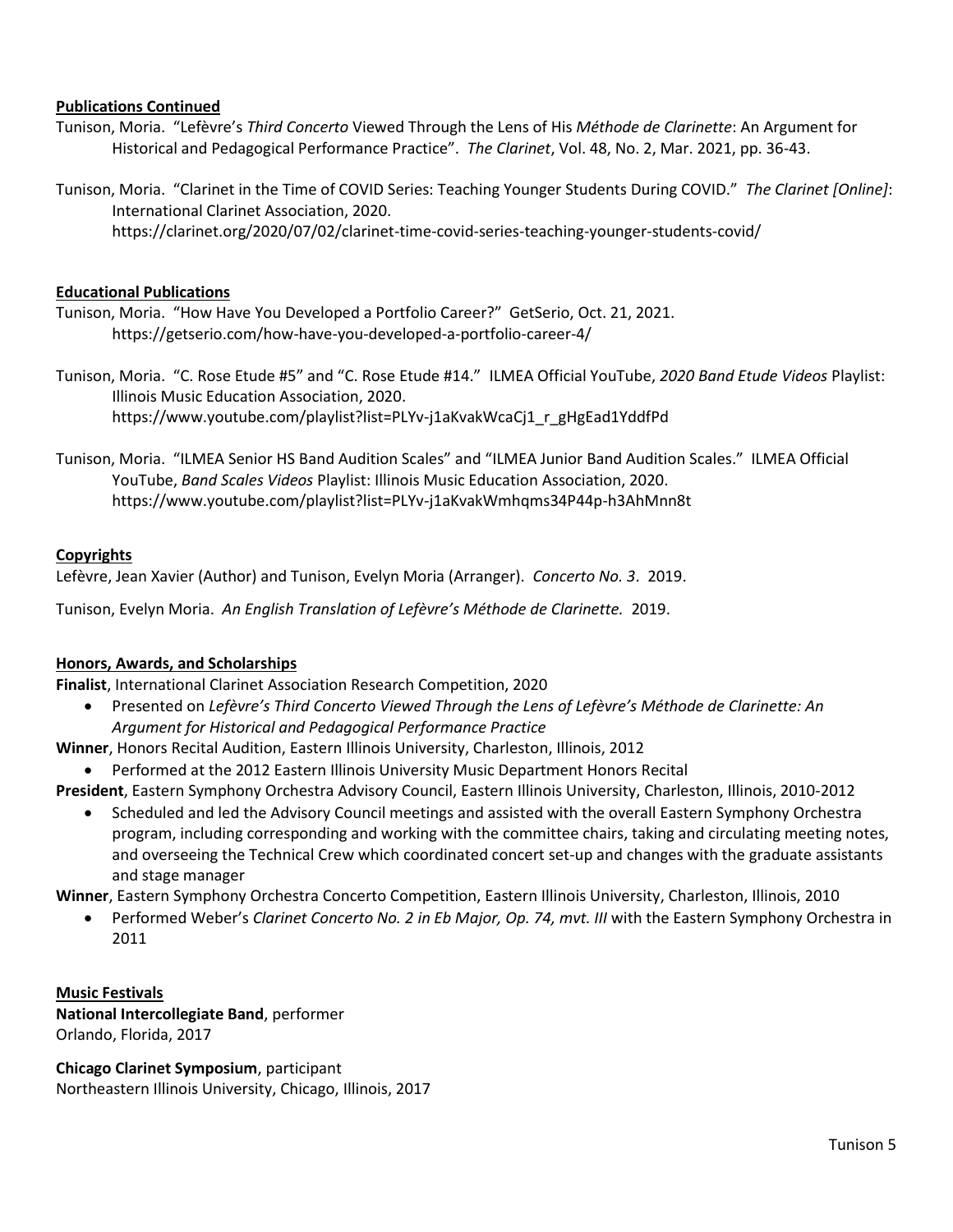### **Publications Continued**

- Tunison, Moria. "Lefèvre's *Third Concerto* Viewed Through the Lens of His *Méthode de Clarinette*: An Argument for Historical and Pedagogical Performance Practice". *The Clarinet*, Vol. 48, No. 2, Mar. 2021, pp. 36-43.
- Tunison, Moria. "Clarinet in the Time of COVID Series: Teaching Younger Students During COVID." *The Clarinet [Online]*: International Clarinet Association, 2020. https://clarinet.org/2020/07/02/clarinet-time-covid-series-teaching-younger-students-covid/

### **Educational Publications**

Tunison, Moria. "How Have You Developed a Portfolio Career?" GetSerio, Oct. 21, 2021. https://getserio.com/how-have-you-developed-a-portfolio-career-4/

Tunison, Moria. "C. Rose Etude #5" and "C. Rose Etude #14." ILMEA Official YouTube, *2020 Band Etude Videos* Playlist: Illinois Music Education Association, 2020. https://www.youtube.com/playlist?list=PLYv-j1aKvakWcaCj1\_r\_gHgEad1YddfPd

Tunison, Moria. "ILMEA Senior HS Band Audition Scales" and "ILMEA Junior Band Audition Scales." ILMEA Official YouTube, *Band Scales Videos* Playlist: Illinois Music Education Association, 2020. https://www.youtube.com/playlist?list=PLYv-j1aKvakWmhqms34P44p-h3AhMnn8t

# **Copyrights**

Lefèvre, Jean Xavier (Author) and Tunison, Evelyn Moria (Arranger). *Concerto No. 3*. 2019.

Tunison, Evelyn Moria. *An English Translation of Lefèvre's Méthode de Clarinette.* 2019.

### **Honors, Awards, and Scholarships**

**Finalist**, International Clarinet Association Research Competition, 2020

• Presented on *Lefèvre's Third Concerto Viewed Through the Lens of Lefèvre's Méthode de Clarinette: An Argument for Historical and Pedagogical Performance Practice*

**Winner**, Honors Recital Audition, Eastern Illinois University, Charleston, Illinois, 2012

- Performed at the 2012 Eastern Illinois University Music Department Honors Recital
- **President**, Eastern Symphony Orchestra Advisory Council, Eastern Illinois University, Charleston, Illinois, 2010-2012
	- Scheduled and led the Advisory Council meetings and assisted with the overall Eastern Symphony Orchestra program, including corresponding and working with the committee chairs, taking and circulating meeting notes, and overseeing the Technical Crew which coordinated concert set-up and changes with the graduate assistants and stage manager

**Winner**, Eastern Symphony Orchestra Concerto Competition, Eastern Illinois University, Charleston, Illinois, 2010

• Performed Weber's *Clarinet Concerto No. 2 in Eb Major, Op. 74, mvt. III* with the Eastern Symphony Orchestra in 2011

**Music Festivals National Intercollegiate Band**, performer Orlando, Florida, 2017

**Chicago Clarinet Symposium**, participant Northeastern Illinois University, Chicago, Illinois, 2017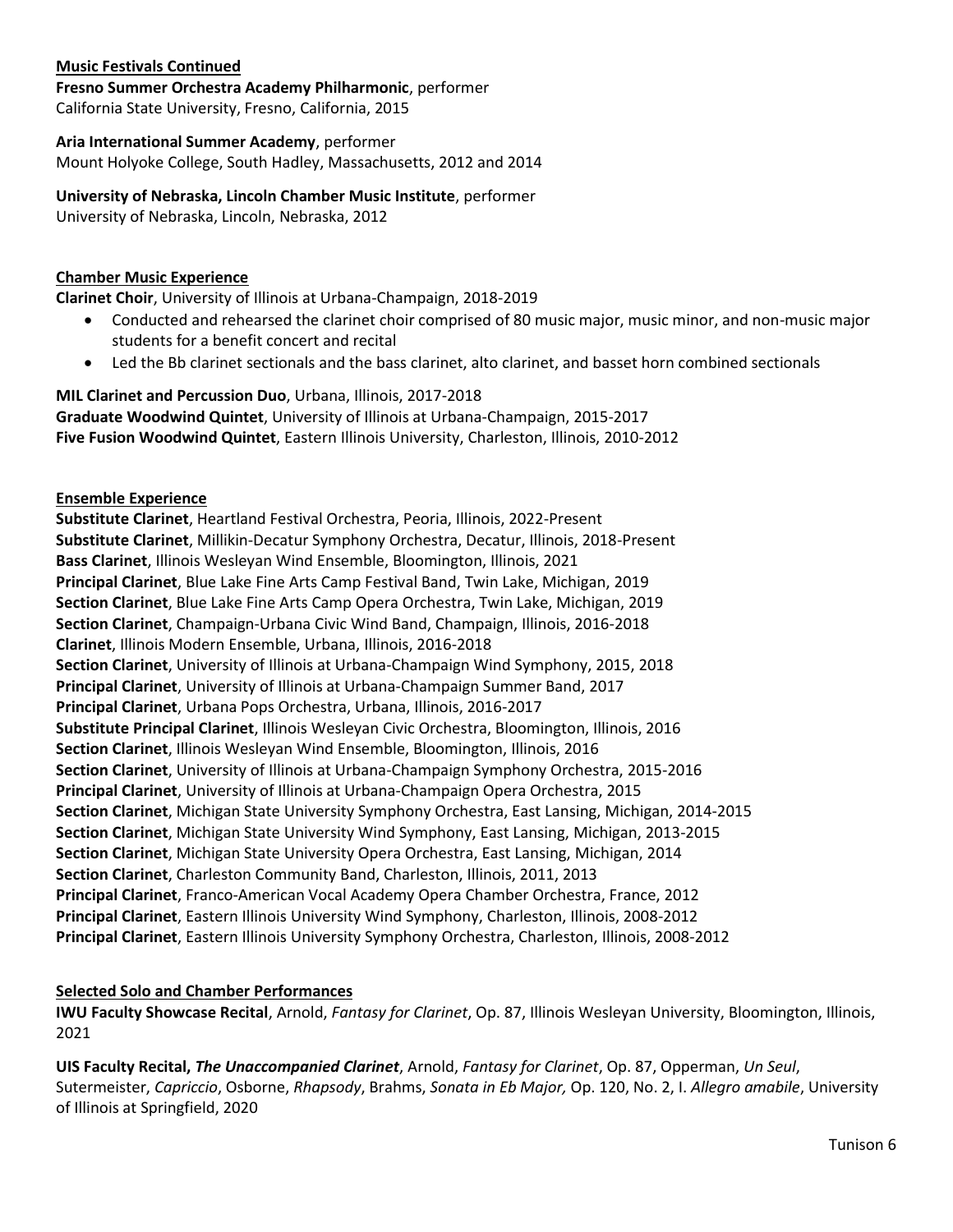### **Music Festivals Continued**

**Fresno Summer Orchestra Academy Philharmonic**, performer California State University, Fresno, California, 2015

### **Aria International Summer Academy**, performer

Mount Holyoke College, South Hadley, Massachusetts, 2012 and 2014

### **University of Nebraska, Lincoln Chamber Music Institute**, performer

University of Nebraska, Lincoln, Nebraska, 2012

### **Chamber Music Experience**

**Clarinet Choir**, University of Illinois at Urbana-Champaign, 2018-2019

- Conducted and rehearsed the clarinet choir comprised of 80 music major, music minor, and non-music major students for a benefit concert and recital
- Led the Bb clarinet sectionals and the bass clarinet, alto clarinet, and basset horn combined sectionals

# **MIL Clarinet and Percussion Duo**, Urbana, Illinois, 2017-2018 **Graduate Woodwind Quintet**, University of Illinois at Urbana-Champaign, 2015-2017

**Five Fusion Woodwind Quintet**, Eastern Illinois University, Charleston, Illinois, 2010-2012

### **Ensemble Experience**

**Substitute Clarinet**, Heartland Festival Orchestra, Peoria, Illinois, 2022-Present **Substitute Clarinet**, Millikin-Decatur Symphony Orchestra, Decatur, Illinois, 2018-Present **Bass Clarinet**, Illinois Wesleyan Wind Ensemble, Bloomington, Illinois, 2021 **Principal Clarinet**, Blue Lake Fine Arts Camp Festival Band, Twin Lake, Michigan, 2019 **Section Clarinet**, Blue Lake Fine Arts Camp Opera Orchestra, Twin Lake, Michigan, 2019 **Section Clarinet**, Champaign-Urbana Civic Wind Band, Champaign, Illinois, 2016-2018 **Clarinet**, Illinois Modern Ensemble, Urbana, Illinois, 2016-2018 **Section Clarinet**, University of Illinois at Urbana-Champaign Wind Symphony, 2015, 2018 **Principal Clarinet**, University of Illinois at Urbana-Champaign Summer Band, 2017 **Principal Clarinet**, Urbana Pops Orchestra, Urbana, Illinois, 2016-2017 **Substitute Principal Clarinet**, Illinois Wesleyan Civic Orchestra, Bloomington, Illinois, 2016 **Section Clarinet**, Illinois Wesleyan Wind Ensemble, Bloomington, Illinois, 2016 **Section Clarinet**, University of Illinois at Urbana-Champaign Symphony Orchestra, 2015-2016 **Principal Clarinet**, University of Illinois at Urbana-Champaign Opera Orchestra, 2015 **Section Clarinet**, Michigan State University Symphony Orchestra, East Lansing, Michigan, 2014-2015 **Section Clarinet**, Michigan State University Wind Symphony, East Lansing, Michigan, 2013-2015 **Section Clarinet**, Michigan State University Opera Orchestra, East Lansing, Michigan, 2014 **Section Clarinet**, Charleston Community Band, Charleston, Illinois, 2011, 2013 **Principal Clarinet**, Franco-American Vocal Academy Opera Chamber Orchestra, France, 2012 **Principal Clarinet**, Eastern Illinois University Wind Symphony, Charleston, Illinois, 2008-2012 **Principal Clarinet**, Eastern Illinois University Symphony Orchestra, Charleston, Illinois, 2008-2012

### **Selected Solo and Chamber Performances**

**IWU Faculty Showcase Recital**, Arnold, *Fantasy for Clarinet*, Op. 87, Illinois Wesleyan University, Bloomington, Illinois, 2021

**UIS Faculty Recital,** *The Unaccompanied Clarinet*, Arnold, *Fantasy for Clarinet*, Op. 87, Opperman, *Un Seul*, Sutermeister, *Capriccio*, Osborne, *Rhapsody*, Brahms, *Sonata in Eb Major,* Op. 120, No. 2, I. *Allegro amabile*, University of Illinois at Springfield, 2020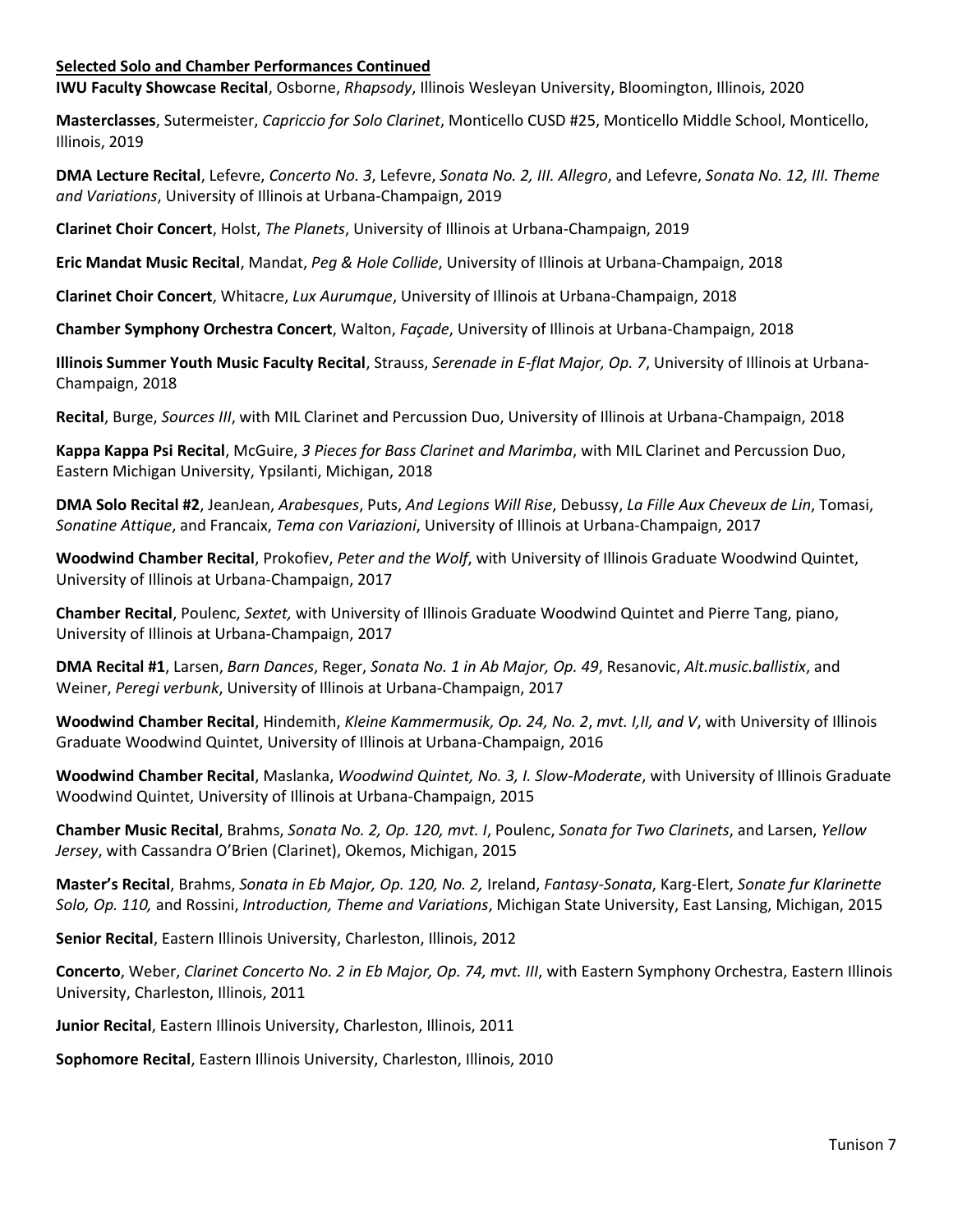### **Selected Solo and Chamber Performances Continued**

**IWU Faculty Showcase Recital**, Osborne, *Rhapsody*, Illinois Wesleyan University, Bloomington, Illinois, 2020

**Masterclasses**, Sutermeister, *Capriccio for Solo Clarinet*, Monticello CUSD #25, Monticello Middle School, Monticello, Illinois, 2019

**DMA Lecture Recital**, Lefevre, *Concerto No. 3*, Lefevre, *Sonata No. 2, III. Allegro*, and Lefevre, *Sonata No. 12, III. Theme and Variations*, University of Illinois at Urbana-Champaign, 2019

**Clarinet Choir Concert**, Holst, *The Planets*, University of Illinois at Urbana-Champaign, 2019

**Eric Mandat Music Recital**, Mandat, *Peg & Hole Collide*, University of Illinois at Urbana-Champaign, 2018

**Clarinet Choir Concert**, Whitacre, *Lux Aurumque*, University of Illinois at Urbana-Champaign, 2018

**Chamber Symphony Orchestra Concert**, Walton, *Façade*, University of Illinois at Urbana-Champaign, 2018

**Illinois Summer Youth Music Faculty Recital**, Strauss, *Serenade in E-flat Major, Op. 7*, University of Illinois at Urbana-Champaign, 2018

**Recital**, Burge, *Sources III*, with MIL Clarinet and Percussion Duo, University of Illinois at Urbana-Champaign, 2018

**Kappa Kappa Psi Recital**, McGuire, *3 Pieces for Bass Clarinet and Marimba*, with MIL Clarinet and Percussion Duo, Eastern Michigan University, Ypsilanti, Michigan, 2018

**DMA Solo Recital #2**, JeanJean, *Arabesques*, Puts, *And Legions Will Rise*, Debussy, *La Fille Aux Cheveux de Lin*, Tomasi, *Sonatine Attique*, and Francaix, *Tema con Variazioni*, University of Illinois at Urbana-Champaign, 2017

**Woodwind Chamber Recital**, Prokofiev, *Peter and the Wolf*, with University of Illinois Graduate Woodwind Quintet, University of Illinois at Urbana-Champaign, 2017

**Chamber Recital**, Poulenc, *Sextet,* with University of Illinois Graduate Woodwind Quintet and Pierre Tang, piano, University of Illinois at Urbana-Champaign, 2017

**DMA Recital #1**, Larsen, *Barn Dances*, Reger, *Sonata No. 1 in Ab Major, Op. 49*, Resanovic, *Alt.music.ballistix*, and Weiner, *Peregi verbunk*, University of Illinois at Urbana-Champaign, 2017

**Woodwind Chamber Recital**, Hindemith, *Kleine Kammermusik, Op. 24, No. 2*, *mvt. I,II, and V*, with University of Illinois Graduate Woodwind Quintet, University of Illinois at Urbana-Champaign, 2016

**Woodwind Chamber Recital**, Maslanka, *Woodwind Quintet, No. 3, I. Slow-Moderate*, with University of Illinois Graduate Woodwind Quintet, University of Illinois at Urbana-Champaign, 2015

**Chamber Music Recital**, Brahms, *Sonata No. 2, Op. 120, mvt. I*, Poulenc, *Sonata for Two Clarinets*, and Larsen, *Yellow Jersey*, with Cassandra O'Brien (Clarinet), Okemos, Michigan, 2015

**Master's Recital**, Brahms, *Sonata in Eb Major, Op. 120, No. 2,* Ireland, *Fantasy-Sonata*, Karg-Elert, *Sonate fur Klarinette Solo, Op. 110,* and Rossini, *Introduction, Theme and Variations*, Michigan State University, East Lansing, Michigan, 2015

**Senior Recital**, Eastern Illinois University, Charleston, Illinois, 2012

**Concerto**, Weber, *Clarinet Concerto No. 2 in Eb Major, Op. 74, mvt. III*, with Eastern Symphony Orchestra, Eastern Illinois University, Charleston, Illinois, 2011

**Junior Recital**, Eastern Illinois University, Charleston, Illinois, 2011

**Sophomore Recital**, Eastern Illinois University, Charleston, Illinois, 2010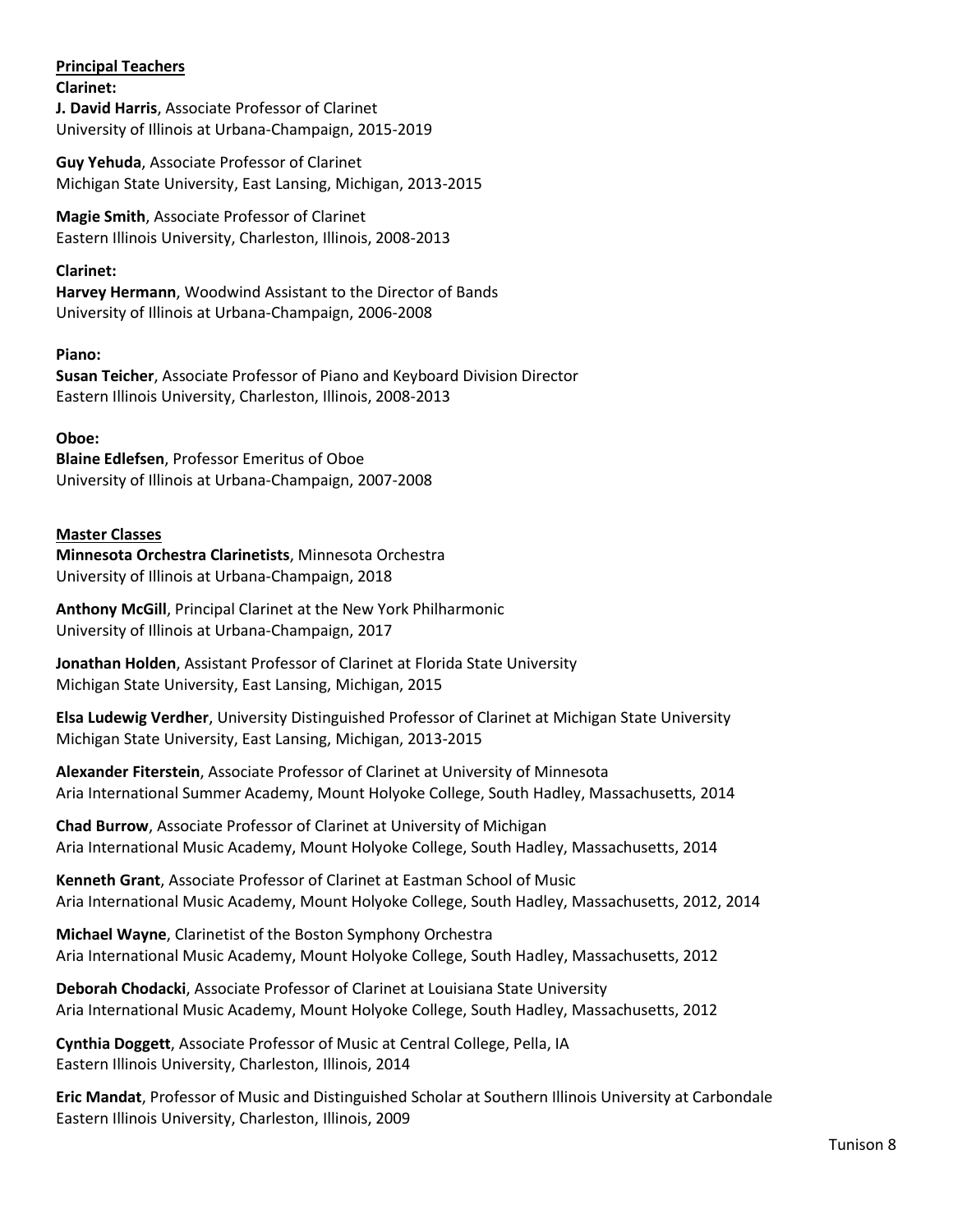# **Principal Teachers**

**Clarinet:** 

**J. David Harris**, Associate Professor of Clarinet University of Illinois at Urbana-Champaign, 2015-2019

**Guy Yehuda**, Associate Professor of Clarinet Michigan State University, East Lansing, Michigan, 2013-2015

**Magie Smith**, Associate Professor of Clarinet Eastern Illinois University, Charleston, Illinois, 2008-2013

# **Clarinet:**

**Harvey Hermann**, Woodwind Assistant to the Director of Bands University of Illinois at Urbana-Champaign, 2006-2008

# **Piano:**

**Susan Teicher**, Associate Professor of Piano and Keyboard Division Director Eastern Illinois University, Charleston, Illinois, 2008-2013

# **Oboe:**

**Blaine Edlefsen**, Professor Emeritus of Oboe University of Illinois at Urbana-Champaign, 2007-2008

# **Master Classes**

**Minnesota Orchestra Clarinetists**, Minnesota Orchestra University of Illinois at Urbana-Champaign, 2018

**Anthony McGill**, Principal Clarinet at the New York Philharmonic University of Illinois at Urbana-Champaign, 2017

**Jonathan Holden**, Assistant Professor of Clarinet at Florida State University Michigan State University, East Lansing, Michigan, 2015

**Elsa Ludewig Verdher**, University Distinguished Professor of Clarinet at Michigan State University Michigan State University, East Lansing, Michigan, 2013-2015

**Alexander Fiterstein**, Associate Professor of Clarinet at University of Minnesota Aria International Summer Academy, Mount Holyoke College, South Hadley, Massachusetts, 2014

**Chad Burrow**, Associate Professor of Clarinet at University of Michigan Aria International Music Academy, Mount Holyoke College, South Hadley, Massachusetts, 2014

**Kenneth Grant**, Associate Professor of Clarinet at Eastman School of Music Aria International Music Academy, Mount Holyoke College, South Hadley, Massachusetts, 2012, 2014

**Michael Wayne**, Clarinetist of the Boston Symphony Orchestra Aria International Music Academy, Mount Holyoke College, South Hadley, Massachusetts, 2012

**Deborah Chodacki**, Associate Professor of Clarinet at Louisiana State University Aria International Music Academy, Mount Holyoke College, South Hadley, Massachusetts, 2012

**Cynthia Doggett**, Associate Professor of Music at Central College, Pella, IA Eastern Illinois University, Charleston, Illinois, 2014

**Eric Mandat**, Professor of Music and Distinguished Scholar at Southern Illinois University at Carbondale Eastern Illinois University, Charleston, Illinois, 2009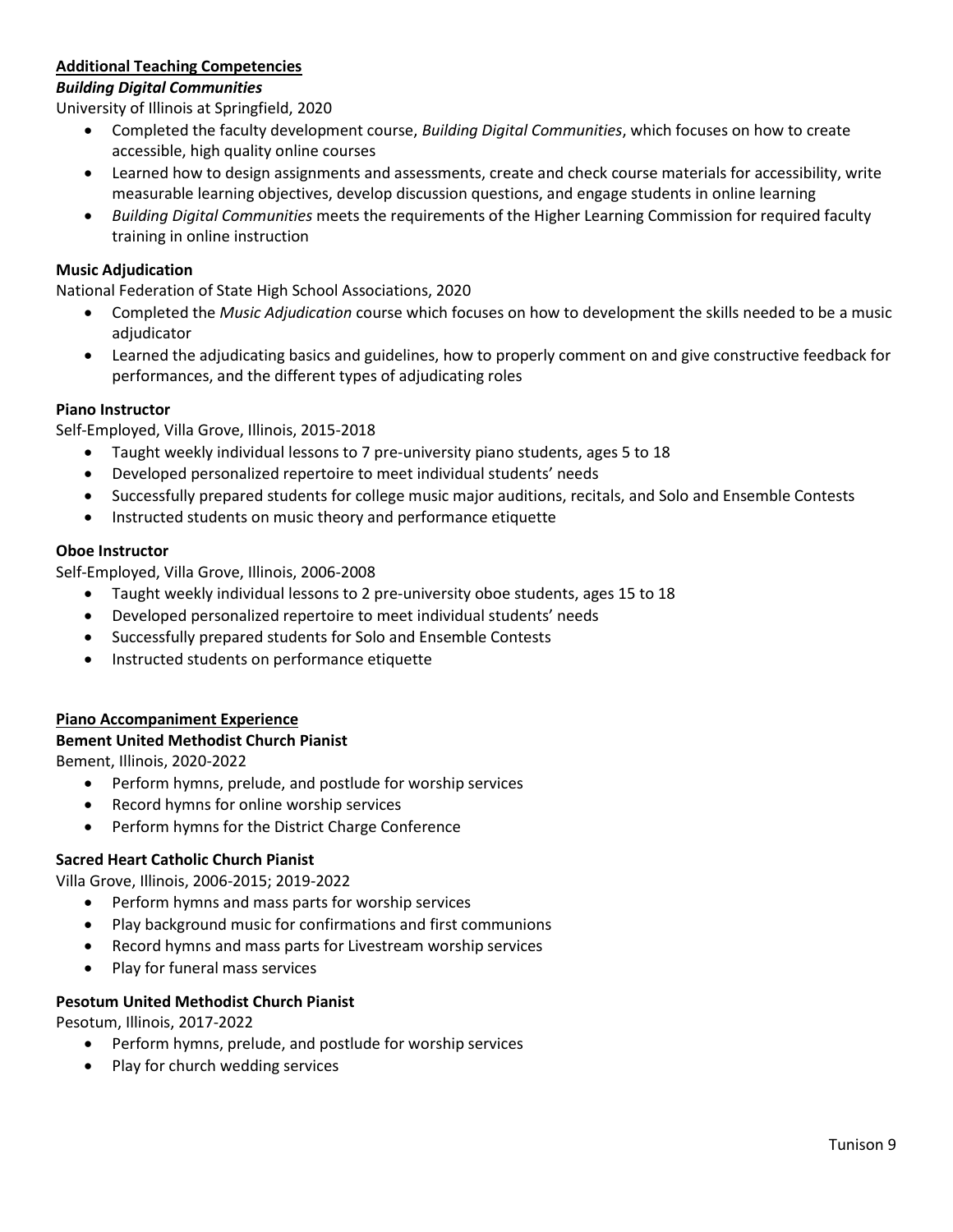# **Additional Teaching Competencies**

### *Building Digital Communities*

University of Illinois at Springfield, 2020

- Completed the faculty development course, *Building Digital Communities*, which focuses on how to create accessible, high quality online courses
- Learned how to design assignments and assessments, create and check course materials for accessibility, write measurable learning objectives, develop discussion questions, and engage students in online learning
- *Building Digital Communities* meets the requirements of the Higher Learning Commission for required faculty training in online instruction

### **Music Adjudication**

National Federation of State High School Associations, 2020

- Completed the *Music Adjudication* course which focuses on how to development the skills needed to be a music adjudicator
- Learned the adjudicating basics and guidelines, how to properly comment on and give constructive feedback for performances, and the different types of adjudicating roles

# **Piano Instructor**

Self-Employed, Villa Grove, Illinois, 2015-2018

- Taught weekly individual lessons to 7 pre-university piano students, ages 5 to 18
- Developed personalized repertoire to meet individual students' needs
- Successfully prepared students for college music major auditions, recitals, and Solo and Ensemble Contests
- Instructed students on music theory and performance etiquette

### **Oboe Instructor**

Self-Employed, Villa Grove, Illinois, 2006-2008

- Taught weekly individual lessons to 2 pre-university oboe students, ages 15 to 18
- Developed personalized repertoire to meet individual students' needs
- Successfully prepared students for Solo and Ensemble Contests
- Instructed students on performance etiquette

### **Piano Accompaniment Experience**

### **Bement United Methodist Church Pianist**

Bement, Illinois, 2020-2022

- Perform hymns, prelude, and postlude for worship services
- Record hymns for online worship services
- Perform hymns for the District Charge Conference

### **Sacred Heart Catholic Church Pianist**

Villa Grove, Illinois, 2006-2015; 2019-2022

- Perform hymns and mass parts for worship services
- Play background music for confirmations and first communions
- Record hymns and mass parts for Livestream worship services
- Play for funeral mass services

### **Pesotum United Methodist Church Pianist**

Pesotum, Illinois, 2017-2022

- Perform hymns, prelude, and postlude for worship services
- Play for church wedding services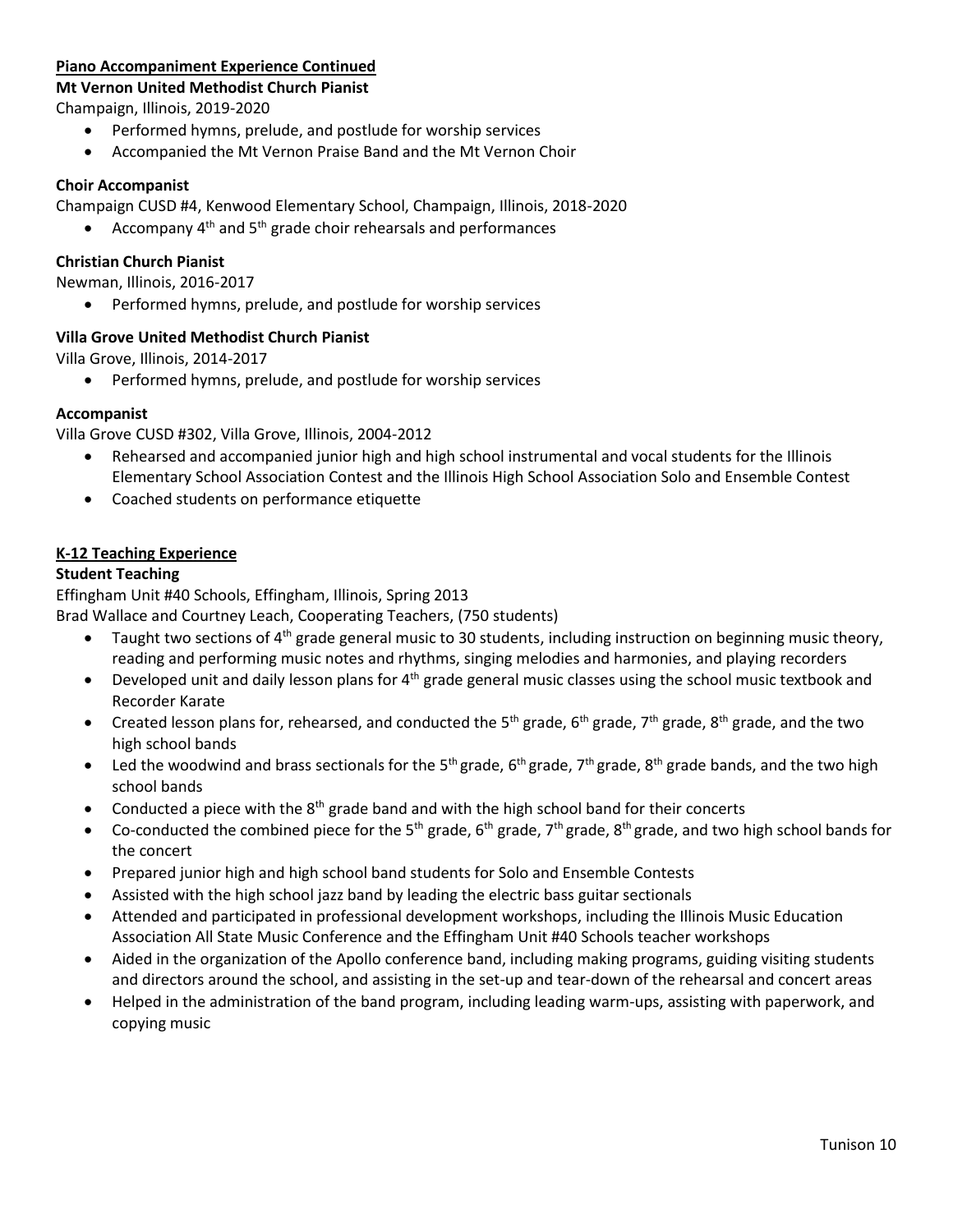### **Piano Accompaniment Experience Continued**

### **Mt Vernon United Methodist Church Pianist**

Champaign, Illinois, 2019-2020

- Performed hymns, prelude, and postlude for worship services
- Accompanied the Mt Vernon Praise Band and the Mt Vernon Choir

### **Choir Accompanist**

Champaign CUSD #4, Kenwood Elementary School, Champaign, Illinois, 2018-2020

Accompany 4<sup>th</sup> and 5<sup>th</sup> grade choir rehearsals and performances

### **Christian Church Pianist**

Newman, Illinois, 2016-2017

• Performed hymns, prelude, and postlude for worship services

# **Villa Grove United Methodist Church Pianist**

Villa Grove, Illinois, 2014-2017

• Performed hymns, prelude, and postlude for worship services

### **Accompanist**

Villa Grove CUSD #302, Villa Grove, Illinois, 2004-2012

- Rehearsed and accompanied junior high and high school instrumental and vocal students for the Illinois Elementary School Association Contest and the Illinois High School Association Solo and Ensemble Contest
- Coached students on performance etiquette

### **K-12 Teaching Experience**

### **Student Teaching**

Effingham Unit #40 Schools, Effingham, Illinois, Spring 2013

Brad Wallace and Courtney Leach, Cooperating Teachers, (750 students)

- Taught two sections of  $4<sup>th</sup>$  grade general music to 30 students, including instruction on beginning music theory, reading and performing music notes and rhythms, singing melodies and harmonies, and playing recorders
- Developed unit and daily lesson plans for  $4<sup>th</sup>$  grade general music classes using the school music textbook and Recorder Karate
- Created lesson plans for, rehearsed, and conducted the 5<sup>th</sup> grade, 6<sup>th</sup> grade, 7<sup>th</sup> grade, 8<sup>th</sup> grade, and the two high school bands
- Led the woodwind and brass sectionals for the 5<sup>th</sup> grade, 6<sup>th</sup> grade, 7<sup>th</sup> grade, 8<sup>th</sup> grade bands, and the two high school bands
- Conducted a piece with the  $8<sup>th</sup>$  grade band and with the high school band for their concerts
- Co-conducted the combined piece for the 5<sup>th</sup> grade, 6<sup>th</sup> grade, 7<sup>th</sup> grade, 8<sup>th</sup> grade, and two high school bands for the concert
- Prepared junior high and high school band students for Solo and Ensemble Contests
- Assisted with the high school jazz band by leading the electric bass guitar sectionals
- Attended and participated in professional development workshops, including the Illinois Music Education Association All State Music Conference and the Effingham Unit #40 Schools teacher workshops
- Aided in the organization of the Apollo conference band, including making programs, guiding visiting students and directors around the school, and assisting in the set-up and tear-down of the rehearsal and concert areas
- Helped in the administration of the band program, including leading warm-ups, assisting with paperwork, and copying music